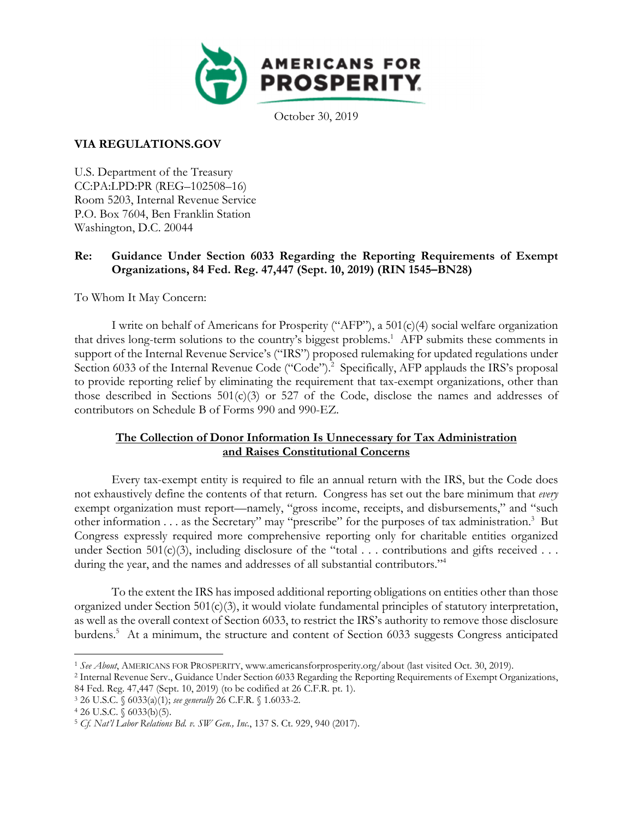

October 30, 2019

## **VIA REGULATIONS.GOV**

U.S. Department of the Treasury CC:PA:LPD:PR (REG–102508–16) Room 5203, Internal Revenue Service P.O. Box 7604, Ben Franklin Station Washington, D.C. 20044

## **Re: Guidance Under Section 6033 Regarding the Reporting Requirements of Exempt Organizations, 84 Fed. Reg. 47,447 (Sept. 10, 2019) (RIN 1545–BN28)**

To Whom It May Concern:

I write on behalf of Americans for Prosperity ("AFP"), a 501(c)(4) social welfare organization that drives long-term solutions to the country's biggest problems.<sup>1</sup> AFP submits these comments in support of the Internal Revenue Service's ("IRS") proposed rulemaking for updated regulations under Section 6033 of the Internal Revenue Code ("Code").<sup>2</sup> Specifically, AFP applauds the IRS's proposal to provide reporting relief by eliminating the requirement that tax-exempt organizations, other than those described in Sections  $501(c)(3)$  or  $527$  of the Code, disclose the names and addresses of contributors on Schedule B of Forms 990 and 990-EZ.

# **The Collection of Donor Information Is Unnecessary for Tax Administration and Raises Constitutional Concerns**

Every tax-exempt entity is required to file an annual return with the IRS, but the Code does not exhaustively define the contents of that return. Congress has set out the bare minimum that *every* exempt organization must report—namely, "gross income, receipts, and disbursements," and "such other information . . . as the Secretary" may "prescribe" for the purposes of tax administration.<sup>3</sup> But Congress expressly required more comprehensive reporting only for charitable entities organized under Section 501(c)(3), including disclosure of the "total  $\ldots$  contributions and gifts received  $\ldots$ during the year, and the names and addresses of all substantial contributors."<sup>4</sup>

To the extent the IRS has imposed additional reporting obligations on entities other than those organized under Section 501(c)(3), it would violate fundamental principles of statutory interpretation, as well as the overall context of Section 6033, to restrict the IRS's authority to remove those disclosure burdens.<sup>5</sup> At a minimum, the structure and content of Section 6033 suggests Congress anticipated

<sup>&</sup>lt;sup>1</sup> See About, AMERICANS FOR PROSPERITY, www.americansforprosperity.org/about (last visited Oct. 30, 2019).<br><sup>2</sup> Internal Revenue Serv., Guidance Under Section 6033 Regarding the Reporting Requirements of Exempt Organizatio

<sup>84</sup> Fed. Reg. 47,447 (Sept. 10, 2019) (to be codified at 26 C.F.R. pt. 1).<br><sup>3</sup> 26 U.S.C. § 6033(a)(1); *see generally* 26 C.F.R. § 1.6033-2.<br>4 26 U.S.C. § 6033(b)(5).

<sup>5</sup> *Cf. Nat'l Labor Relations Bd. v. SW Gen., Inc.*, 137 S. Ct. 929, 940 (2017).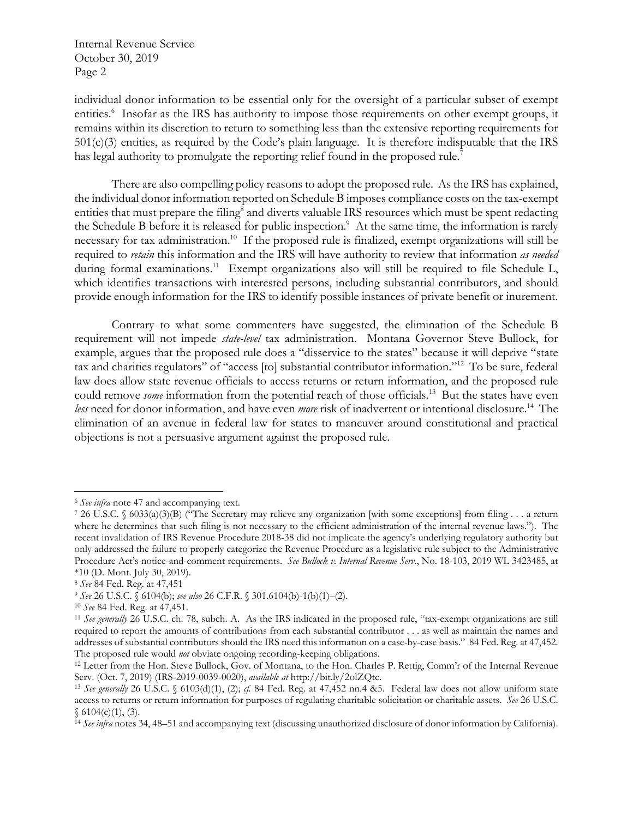individual donor information to be essential only for the oversight of a particular subset of exempt entities.<sup>6</sup> Insofar as the IRS has authority to impose those requirements on other exempt groups, it remains within its discretion to return to something less than the extensive reporting requirements for 501(c)(3) entities, as required by the Code's plain language. It is therefore indisputable that the IRS has legal authority to promulgate the reporting relief found in the proposed rule.<sup>7</sup>

There are also compelling policy reasons to adopt the proposed rule. As the IRS has explained, the individual donor information reported on Schedule B imposes compliance costs on the tax-exempt entities that must prepare the filing<sup>8</sup> and diverts valuable IRS resources which must be spent redacting the Schedule B before it is released for public inspection.<sup>9</sup> At the same time, the information is rarely necessary for tax administration.10 If the proposed rule is finalized, exempt organizations will still be required to *retain* this information and the IRS will have authority to review that information *as needed* during formal examinations.<sup>11</sup> Exempt organizations also will still be required to file Schedule L, which identifies transactions with interested persons, including substantial contributors, and should provide enough information for the IRS to identify possible instances of private benefit or inurement.

Contrary to what some commenters have suggested, the elimination of the Schedule B requirement will not impede *state-level* tax administration. Montana Governor Steve Bullock, for example, argues that the proposed rule does a "disservice to the states" because it will deprive "state tax and charities regulators" of "access [to] substantial contributor information."12 To be sure, federal law does allow state revenue officials to access returns or return information, and the proposed rule could remove *some* information from the potential reach of those officials.<sup>13</sup> But the states have even *less* need for donor information, and have even *more* risk of inadvertent or intentional disclosure.14 The elimination of an avenue in federal law for states to maneuver around constitutional and practical objections is not a persuasive argument against the proposed rule.

<sup>&</sup>lt;sup>6</sup> See infra note 47 and accompanying text.<br>7 26 U.S.C. § 6033(a)(3)(B) ("The Secretary may relieve any organization [with some exceptions] from filing . . . a return where he determines that such filing is not necessary to the efficient administration of the internal revenue laws."). The recent invalidation of IRS Revenue Procedure 2018-38 did not implicate the agency's underlying regulatory authority but only addressed the failure to properly categorize the Revenue Procedure as a legislative rule subject to the Administrative Procedure Act's notice-and-comment requirements. *See Bullock v. Internal Revenue Serv.*, No. 18-103, 2019 WL 3423485, at \*10 (D. Mont. July 30, 2019).

<sup>&</sup>lt;sup>8</sup> See 84 Fed. Reg. at 47,451<br><sup>9</sup> See 26 U.S.C. § 6104(b); see also 26 C.F.R. § 301.6104(b)-1(b)(1)–(2).<br><sup>10</sup> See 84 Fed. Reg. at 47,451.<br><sup>11</sup> See generally 26 U.S.C. ch. 78, subch. A. As the IRS indicated in the proposed required to report the amounts of contributions from each substantial contributor . . . as well as maintain the names and addresses of substantial contributors should the IRS need this information on a case-by-case basis." 84 Fed. Reg. at 47,452. The proposed rule would *not* obviate ongoing recording-keeping obligations. 12 Letter from the Hon. Steve Bullock, Gov. of Montana, to the Hon. Charles P. Rettig, Comm'r of the Internal Revenue

Serv. (Oct. 7, 2019) (IRS-2019-0039-0020), *available at* http://bit.ly/2olZQtc. 13 *See generally* 26 U.S.C. § 6103(d)(1), (2); *cf.* 84 Fed. Reg. at 47,452 nn.4 &5. Federal law does not allow uniform state

access to returns or return information for purposes of regulating charitable solicitation or charitable assets. *See* 26 U.S.C.  $$6104(c)(1), (3).$ 

<sup>14</sup> *See infra* notes 34, 48–51 and accompanying text (discussing unauthorized disclosure of donor information by California).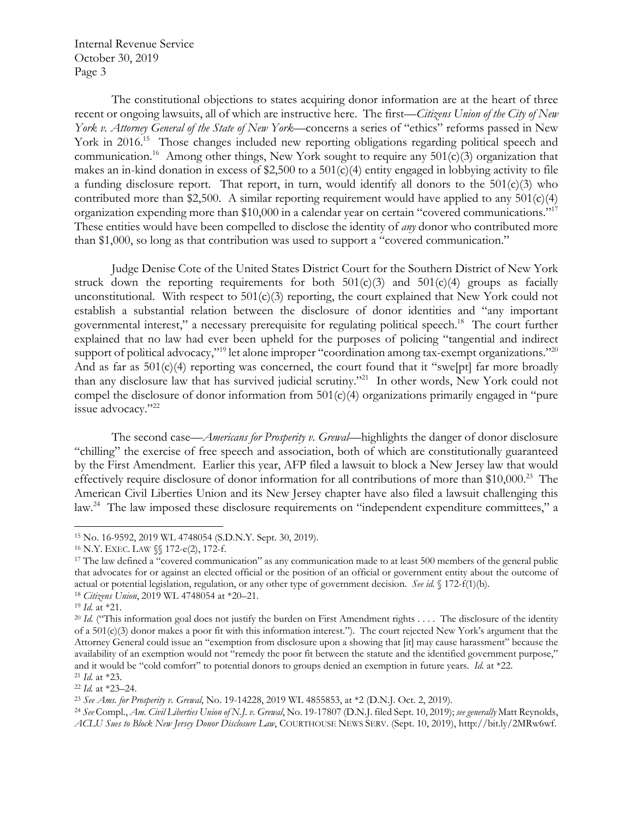The constitutional objections to states acquiring donor information are at the heart of three recent or ongoing lawsuits, all of which are instructive here. The first—*Citizens Union of the City of New York v. Attorney General of the State of New York*—concerns a series of "ethics" reforms passed in New York in 2016.<sup>15</sup> Those changes included new reporting obligations regarding political speech and communication.<sup>16</sup> Among other things, New York sought to require any  $501(c)(3)$  organization that makes an in-kind donation in excess of \$2,500 to a 501(c)(4) entity engaged in lobbying activity to file a funding disclosure report. That report, in turn, would identify all donors to the  $501(c)(3)$  who contributed more than \$2,500. A similar reporting requirement would have applied to any  $501(c)(4)$ organization expending more than \$10,000 in a calendar year on certain "covered communications."17 These entities would have been compelled to disclose the identity of *any* donor who contributed more than \$1,000, so long as that contribution was used to support a "covered communication."

Judge Denise Cote of the United States District Court for the Southern District of New York struck down the reporting requirements for both  $501(c)(3)$  and  $501(c)(4)$  groups as facially unconstitutional. With respect to  $501(c)(3)$  reporting, the court explained that New York could not establish a substantial relation between the disclosure of donor identities and "any important governmental interest," a necessary prerequisite for regulating political speech.18 The court further explained that no law had ever been upheld for the purposes of policing "tangential and indirect support of political advocacy,"<sup>19</sup> let alone improper "coordination among tax-exempt organizations."<sup>20</sup> And as far as 501(c)(4) reporting was concerned, the court found that it "swe[pt] far more broadly than any disclosure law that has survived judicial scrutiny."21 In other words, New York could not compel the disclosure of donor information from 501(c)(4) organizations primarily engaged in "pure issue advocacy."<sup>22</sup>

 The second case—*Americans for Prosperity v. Grewal*—highlights the danger of donor disclosure "chilling" the exercise of free speech and association, both of which are constitutionally guaranteed by the First Amendment. Earlier this year, AFP filed a lawsuit to block a New Jersey law that would effectively require disclosure of donor information for all contributions of more than \$10,000.<sup>23</sup> The American Civil Liberties Union and its New Jersey chapter have also filed a lawsuit challenging this law.<sup>24</sup> The law imposed these disclosure requirements on "independent expenditure committees," a

<sup>&</sup>lt;sup>15</sup> No. 16-9592, 2019 WL 4748054 (S.D.N.Y. Sept. 30, 2019).<br><sup>16</sup> N.Y. EXEC. LAW §§ 172-e(2), 172-f.<br><sup>17</sup> The law defined a "covered communication" as any communication made to at least 500 members of the general public that advocates for or against an elected official or the position of an official or government entity about the outcome of actual or potential legislation, regulation, or any other type of government decision. *See id.* § 172-f(1)(b).<br><sup>18</sup> *Citizens Union*, 2019 WL 4748054 at \*20–21.<br><sup>19</sup> *Id.* at \*21.<br><sup>20</sup> *Id.* ("This information goal does

of a  $501(c)(3)$  donor makes a poor fit with this information interest."). The court rejected New York's argument that the Attorney General could issue an "exemption from disclosure upon a showing that [it] may cause harassment" because the availability of an exemption would not "remedy the poor fit between the statute and the identified government purpose," and it would be "cold comfort" to potential donors to groups denied an exemption in future years. Id. at \*22.<br><sup>21</sup> Id. at \*23.<br><sup>22</sup> Id. at \*23–24.<br><sup>23</sup> See Ams. for Prosperity v. Grewal, No. 19-14228, 2019 WL 4855853, at \*

*ACLU Sues to Block New Jersey Donor Disclosure Law*, COURTHOUSE NEWS SERV. (Sept. 10, 2019), http://bit.ly/2MRw6wf.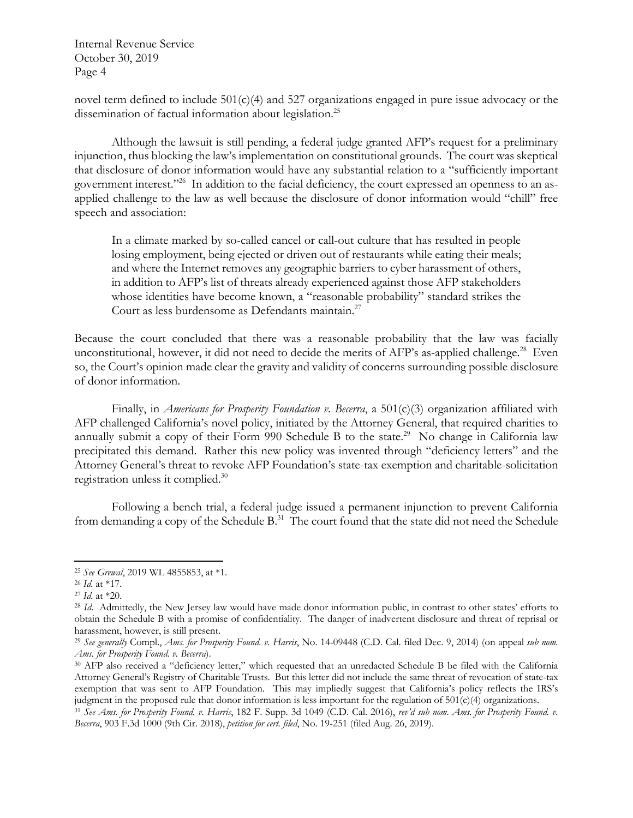novel term defined to include 501(c)(4) and 527 organizations engaged in pure issue advocacy or the dissemination of factual information about legislation.<sup>25</sup>

Although the lawsuit is still pending, a federal judge granted AFP's request for a preliminary injunction, thus blocking the law's implementation on constitutional grounds. The court was skeptical that disclosure of donor information would have any substantial relation to a "sufficiently important government interest."<sup>26</sup> In addition to the facial deficiency, the court expressed an openness to an asapplied challenge to the law as well because the disclosure of donor information would "chill" free speech and association:

In a climate marked by so-called cancel or call-out culture that has resulted in people losing employment, being ejected or driven out of restaurants while eating their meals; and where the Internet removes any geographic barriers to cyber harassment of others, in addition to AFP's list of threats already experienced against those AFP stakeholders whose identities have become known, a "reasonable probability" standard strikes the Court as less burdensome as Defendants maintain.<sup>27</sup>

Because the court concluded that there was a reasonable probability that the law was facially unconstitutional, however, it did not need to decide the merits of AFP's as-applied challenge.<sup>28</sup> Even so, the Court's opinion made clear the gravity and validity of concerns surrounding possible disclosure of donor information.

Finally, in *Americans for Prosperity Foundation v. Becerra*, a 501(c)(3) organization affiliated with AFP challenged California's novel policy, initiated by the Attorney General, that required charities to annually submit a copy of their Form 990 Schedule B to the state.<sup>29</sup> No change in California law precipitated this demand. Rather this new policy was invented through "deficiency letters" and the Attorney General's threat to revoke AFP Foundation's state-tax exemption and charitable-solicitation registration unless it complied.30

Following a bench trial, a federal judge issued a permanent injunction to prevent California from demanding a copy of the Schedule B.<sup>31</sup> The court found that the state did not need the Schedule

<sup>25</sup> *See Grewal*, 2019 WL 4855853, at \*1.<br>
<sup>26</sup> *Id.* at \*17.<br>
<sup>27</sup> *Id.* at \*20.<br>
<sup>28</sup> *Id.* Admittedly, the New Jersey law would have made donor information public, in contrast to other states' efforts to obtain the Schedule B with a promise of confidentiality. The danger of inadvertent disclosure and threat of reprisal or harassment, however, is still present.

<sup>29</sup> *See generally* Compl., *Ams. for Prosperity Found. v. Harris*, No. 14-09448 (C.D. Cal. filed Dec. 9, 2014) (on appeal *sub nom. Ams. for Prosperity Found. v. Becerra*).<br><sup>30</sup> AFP also received a "deficiency letter," which requested that an unredacted Schedule B be filed with the California

Attorney General's Registry of Charitable Trusts. But this letter did not include the same threat of revocation of state-tax exemption that was sent to AFP Foundation. This may impliedly suggest that California's policy reflects the IRS's judgment in the proposed rule that donor information is less important for the regulation of 501(c)(4) organizations.<br><sup>31</sup> See Ams. for Prosperity Found. v. Harris, 182 F. Supp. 3d 1049 (C.D. Cal. 2016), rev'd sub nom. Ams

*Becerra*, 903 F.3d 1000 (9th Cir. 2018), *petition for cert. filed*, No. 19-251 (filed Aug. 26, 2019).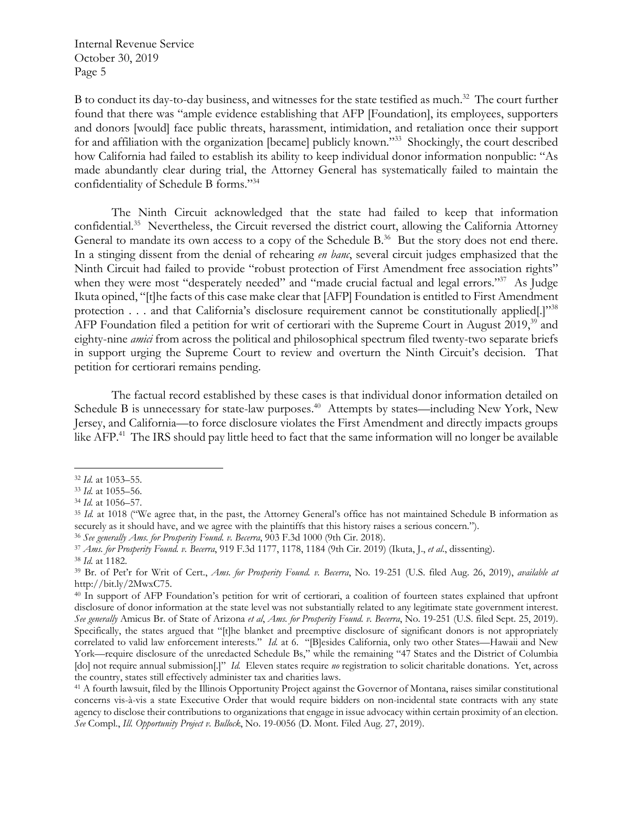B to conduct its day-to-day business, and witnesses for the state testified as much.<sup>32</sup> The court further found that there was "ample evidence establishing that AFP [Foundation], its employees, supporters and donors [would] face public threats, harassment, intimidation, and retaliation once their support for and affiliation with the organization [became] publicly known."<sup>33</sup> Shockingly, the court described how California had failed to establish its ability to keep individual donor information nonpublic: "As made abundantly clear during trial, the Attorney General has systematically failed to maintain the confidentiality of Schedule B forms."34

The Ninth Circuit acknowledged that the state had failed to keep that information confidential.35 Nevertheless, the Circuit reversed the district court, allowing the California Attorney General to mandate its own access to a copy of the Schedule B.<sup>36</sup> But the story does not end there. In a stinging dissent from the denial of rehearing *en banc*, several circuit judges emphasized that the Ninth Circuit had failed to provide "robust protection of First Amendment free association rights" when they were most "desperately needed" and "made crucial factual and legal errors."<sup>37</sup> As Judge Ikuta opined, "[t]he facts of this case make clear that [AFP] Foundation is entitled to First Amendment protection . . . and that California's disclosure requirement cannot be constitutionally applied[.]"<sup>38</sup> AFP Foundation filed a petition for writ of certiorari with the Supreme Court in August 2019,<sup>39</sup> and eighty-nine *amici* from across the political and philosophical spectrum filed twenty-two separate briefs in support urging the Supreme Court to review and overturn the Ninth Circuit's decision. That petition for certiorari remains pending.

The factual record established by these cases is that individual donor information detailed on Schedule B is unnecessary for state-law purposes.<sup>40</sup> Attempts by states—including New York, New Jersey, and California—to force disclosure violates the First Amendment and directly impacts groups like AFP.<sup>41</sup> The IRS should pay little heed to fact that the same information will no longer be available

<sup>&</sup>lt;sup>32</sup> *Id.* at 1053–55.<br><sup>33</sup> *Id.* at 1055–56.<br><sup>34</sup> *Id.* at 1056–57.<br><sup>35</sup> *Id.* at 1018 ("We agree that, in the past, the Attorney General's office has not maintained Schedule B information as securely as it should have, and we agree with the plaintiffs that this history raises a serious concern.").<br><sup>36</sup> See generally *Ams. for Prosperity Found. v. Becerra*, 903 F.3d 1000 (9th Cir. 2018).<br><sup>37</sup> *Ams. for Prosperi* 

http://bit.ly/2MwxC75.

<sup>40</sup> In support of AFP Foundation's petition for writ of certiorari, a coalition of fourteen states explained that upfront disclosure of donor information at the state level was not substantially related to any legitimate state government interest. *See generally* Amicus Br. of State of Arizona *et al*, *Ams. for Prosperity Found. v. Becerra*, No. 19-251 (U.S. filed Sept. 25, 2019). Specifically, the states argued that "[t]he blanket and preemptive disclosure of significant donors is not appropriately correlated to valid law enforcement interests." *Id.* at 6. "[B]esides California, only two other States—Hawaii and New York—require disclosure of the unredacted Schedule Bs," while the remaining "47 States and the District of Columbia [do] not require annual submission[.]" *Id.* Eleven states require *no* registration to solicit charitable donations. Yet, across the country, states still effectively administer tax and charities laws.<br><sup>41</sup> A fourth lawsuit, filed by the Illinois Opportunity Project against the Governor of Montana, raises similar constitutional

concerns vis-à-vis a state Executive Order that would require bidders on non-incidental state contracts with any state agency to disclose their contributions to organizations that engage in issue advocacy within certain proximity of an election. *See* Compl., *Ill. Opportunity Project v. Bullock*, No. 19-0056 (D. Mont. Filed Aug. 27, 2019).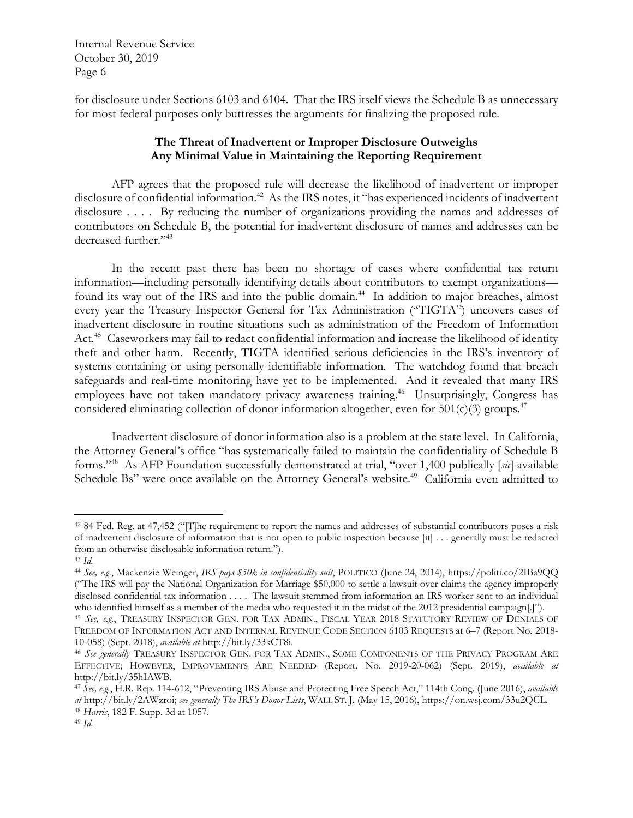for disclosure under Sections 6103 and 6104. That the IRS itself views the Schedule B as unnecessary for most federal purposes only buttresses the arguments for finalizing the proposed rule.

## **The Threat of Inadvertent or Improper Disclosure Outweighs Any Minimal Value in Maintaining the Reporting Requirement**

 AFP agrees that the proposed rule will decrease the likelihood of inadvertent or improper disclosure of confidential information.<sup>42</sup> As the IRS notes, it "has experienced incidents of inadvertent disclosure . . . . By reducing the number of organizations providing the names and addresses of contributors on Schedule B, the potential for inadvertent disclosure of names and addresses can be decreased further."43

 In the recent past there has been no shortage of cases where confidential tax return information—including personally identifying details about contributors to exempt organizations found its way out of the IRS and into the public domain.<sup>44</sup> In addition to major breaches, almost every year the Treasury Inspector General for Tax Administration ("TIGTA") uncovers cases of inadvertent disclosure in routine situations such as administration of the Freedom of Information Act.<sup>45</sup> Caseworkers may fail to redact confidential information and increase the likelihood of identity theft and other harm. Recently, TIGTA identified serious deficiencies in the IRS's inventory of systems containing or using personally identifiable information. The watchdog found that breach safeguards and real-time monitoring have yet to be implemented. And it revealed that many IRS employees have not taken mandatory privacy awareness training.<sup>46</sup> Unsurprisingly, Congress has considered eliminating collection of donor information altogether, even for  $501(c)(3)$  groups.<sup>47</sup>

Inadvertent disclosure of donor information also is a problem at the state level. In California, the Attorney General's office "has systematically failed to maintain the confidentiality of Schedule B forms."48 As AFP Foundation successfully demonstrated at trial, "over 1,400 publically [*sic*] available Schedule Bs" were once available on the Attorney General's website.<sup>49</sup> California even admitted to

<sup>42 84</sup> Fed. Reg. at 47,452 ("[T]he requirement to report the names and addresses of substantial contributors poses a risk of inadvertent disclosure of information that is not open to public inspection because [it] . . . generally must be redacted from an otherwise disclosable information return."). 43 *Id.*

<sup>44</sup> *See, e.g.*, Mackenzie Weinger, *IRS pays \$50k in confidentiality suit*, POLITICO (June 24, 2014), https://politi.co/2IBa9QQ ("The IRS will pay the National Organization for Marriage \$50,000 to settle a lawsuit over claims the agency improperly disclosed confidential tax information . . . . The lawsuit stemmed from information an IRS worker sent to an individual who identified himself as a member of the media who requested it in the midst of the 2012 presidential

<sup>&</sup>lt;sup>45</sup> See, e.g., TREASURY INSPECTOR GEN. FOR TAX ADMIN., FISCAL YEAR 2018 STATUTORY REVIEW OF DENIALS OF FREEDOM OF INFORMATION ACT AND INTERNAL REVENUE CODE SECTION 6103 REQUESTS at 6-7 (Report No. 2018-10-058) (Sept. 2018), *available at* http://bit.ly/33kCT8i.

<sup>&</sup>lt;sup>46</sup> See generally TREASURY INSPECTOR GEN. FOR TAX ADMIN., SOME COMPONENTS OF THE PRIVACY PROGRAM ARE EFFECTIVE; HOWEVER, IMPROVEMENTS ARE NEEDED (Report. No. 2019-20-062) (Sept. 2019), *available at*  http://bit.ly/35hIAWB.

<sup>47</sup> *See, e.g.*, H.R. Rep. 114-612, "Preventing IRS Abuse and Protecting Free Speech Act," 114th Cong. (June 2016), *available at* http://bit.ly/2AWzroi; *see generally The IRS's Donor Lists*, WALL ST. J. (May 15, 2016), https://on.wsj.com/33u2QCL. 48 *Harris*, 182 F. Supp. 3d at 1057. 49 *Id.*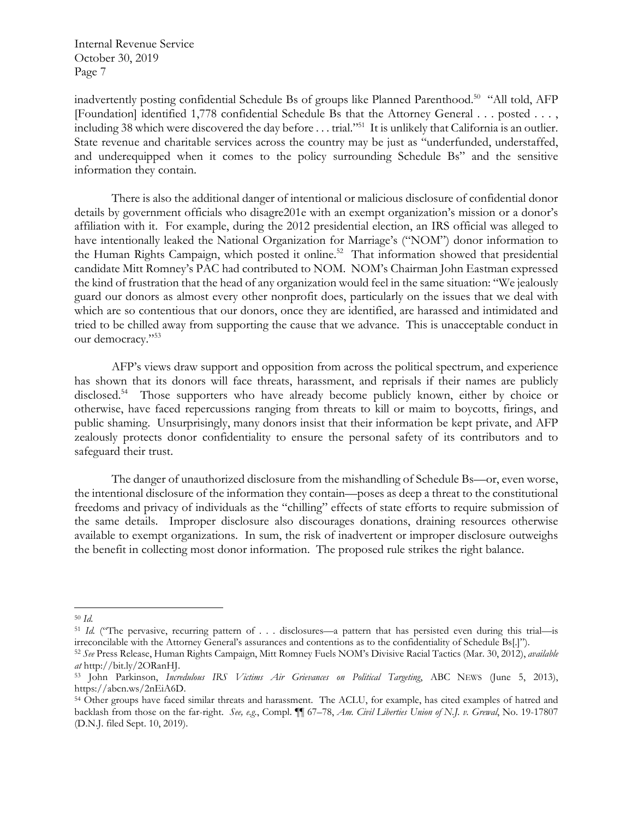inadvertently posting confidential Schedule Bs of groups like Planned Parenthood.<sup>50</sup> "All told, AFP [Foundation] identified 1,778 confidential Schedule Bs that the Attorney General . . . posted . . . , including 38 which were discovered the day before . . . trial."51 It is unlikely that California is an outlier. State revenue and charitable services across the country may be just as "underfunded, understaffed, and underequipped when it comes to the policy surrounding Schedule Bs" and the sensitive information they contain.

There is also the additional danger of intentional or malicious disclosure of confidential donor details by government officials who disagre201e with an exempt organization's mission or a donor's affiliation with it. For example, during the 2012 presidential election, an IRS official was alleged to have intentionally leaked the National Organization for Marriage's ("NOM") donor information to the Human Rights Campaign, which posted it online.<sup>52</sup> That information showed that presidential candidate Mitt Romney's PAC had contributed to NOM. NOM's Chairman John Eastman expressed the kind of frustration that the head of any organization would feel in the same situation: "We jealously guard our donors as almost every other nonprofit does, particularly on the issues that we deal with which are so contentious that our donors, once they are identified, are harassed and intimidated and tried to be chilled away from supporting the cause that we advance. This is unacceptable conduct in our democracy."53

AFP's views draw support and opposition from across the political spectrum, and experience has shown that its donors will face threats, harassment, and reprisals if their names are publicly disclosed.<sup>54</sup> Those supporters who have already become publicly known, either by choice or otherwise, have faced repercussions ranging from threats to kill or maim to boycotts, firings, and public shaming. Unsurprisingly, many donors insist that their information be kept private, and AFP zealously protects donor confidentiality to ensure the personal safety of its contributors and to safeguard their trust.

The danger of unauthorized disclosure from the mishandling of Schedule Bs—or, even worse, the intentional disclosure of the information they contain—poses as deep a threat to the constitutional freedoms and privacy of individuals as the "chilling" effects of state efforts to require submission of the same details. Improper disclosure also discourages donations, draining resources otherwise available to exempt organizations. In sum, the risk of inadvertent or improper disclosure outweighs the benefit in collecting most donor information. The proposed rule strikes the right balance.

<sup>50</sup> *Id.* 

<sup>&</sup>lt;sup>51</sup> *Id.* ("The pervasive, recurring pattern of . . . disclosures—a pattern that has persisted even during this trial—is irreconcilable with the Attorney General's assurances and contentions as to the confidentiality of Schedule Bs[.]").

<sup>52</sup> *See* Press Release, Human Rights Campaign, Mitt Romney Fuels NOM's Divisive Racial Tactics (Mar. 30, 2012), *available at* http://bit.ly/2ORanHJ.

<sup>53</sup> John Parkinson, *Incredulous IRS Victims Air Grievances on Political Targeting*, ABC NEWS (June 5, 2013), https://abcn.ws/2nEiA6D.

<sup>54</sup> Other groups have faced similar threats and harassment. The ACLU, for example, has cited examples of hatred and backlash from those on the far-right. *See, e.g.*, Compl. ¶¶ 67–78, *Am. Civil Liberties Union of N.J. v. Grewal*, No. 19-17807 (D.N.J. filed Sept. 10, 2019).